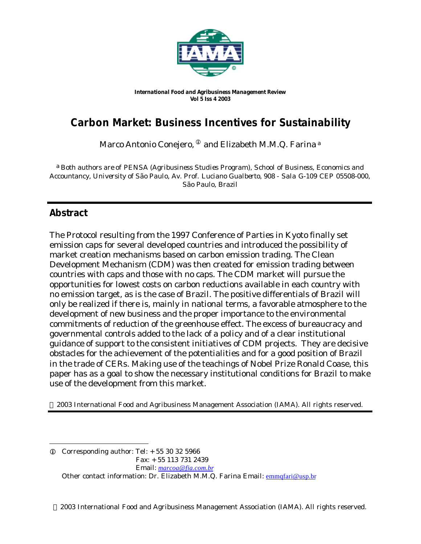

*International Food and Agribusiness Management Review Vol 5 Iss 4 2003*

# **Carbon Market: Business Incentives for Sustainability**

Marco Antonio Conejero,  $^\mathbb{O}$  and Elizabeth M.M.Q. Farina ª

a *Both authors are of PENSA (Agribusiness Studies Program), School of Business, Economics and Accountancy, University of São Paulo, Av. Prof. Luciano Gualberto, 908 - Sala G-109 CEP 05508-000, São Paulo, Brazil*

# **Abstract**

The Protocol resulting from the 1997 Conference of Parties in Kyoto finally set emission caps for several developed countries and introduced the possibility of market creation mechanisms based on carbon emission trading. The Clean Development Mechanism (CDM) was then created for emission trading between countries with caps and those with no caps. The CDM market will pursue the opportunities for lowest costs on carbon reductions available in each country with no emission target, as is the case of Brazil. The positive differentials of Brazil will only be realized if there is, mainly in national terms, a favorable atmosphere to the development of new business and the proper importance to the environmental commitments of reduction of the greenhouse effect. The excess of bureaucracy and governmental controls added to the lack of a policy and of a clear institutional guidance of support to the consistent initiatives of CDM projects. They are decisive obstacles for the achievement of the potentialities and for a good position of Brazil in the trade of CERs. Making use of the teachings of Nobel Prize Ronald Coase, this paper has as a goal to show the necessary institutional conditions for Brazil to make use of the development from this market.

2003 International Food and Agribusiness Management Association (IAMA). All rights reserved.

l  $Q$  Corresponding author: Tel:  $+ 55 30 32 5966$  Fax: + 55 113 731 2439 Email: *marcoa@fia.com.br* Other contact information: Dr. Elizabeth M.M.Q. Farina Email: emmqfari@usp.br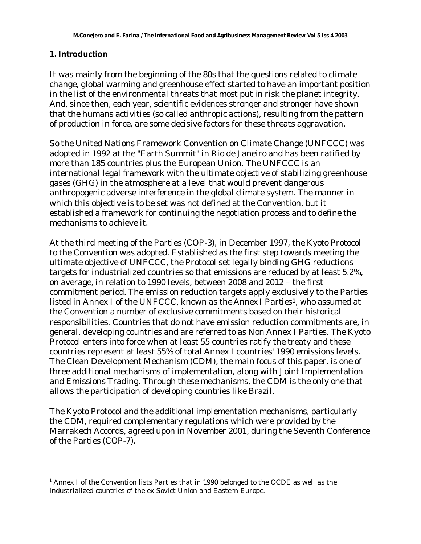### **1. Introduction**

l

It was mainly from the beginning of the 80s that the questions related to climate change, global warming and greenhouse effect started to have an important position in the list of the environmental threats that most put in risk the planet integrity. And, since then, each year, scientific evidences stronger and stronger have shown that the humans activities (so called anthropic actions), resulting from the pattern of production in force, are some decisive factors for these threats aggravation.

So the United Nations Framework Convention on Climate Change (UNFCCC) was adopted in 1992 at the "Earth Summit" in Rio de Janeiro and has been ratified by more than 185 countries plus the European Union. The UNFCCC is an international legal framework with the ultimate objective of stabilizing greenhouse gases (GHG) in the atmosphere at a level that would prevent dangerous anthropogenic adverse interference in the global climate system. The manner in which this objective is to be set was not defined at the Convention, but it established a framework for continuing the negotiation process and to define the mechanisms to achieve it.

At the third meeting of the Parties (COP-3), in December 1997, the *Kyoto Protocol* to the Convention was adopted. Established as the first step towards meeting the ultimate objective of UNFCCC, the Protocol set legally binding GHG reductions targets for industrialized countries so that emissions are reduced by at least 5.2%, on average, in relation to 1990 levels, between 2008 and 2012 – the first commitment period. The emission reduction targets apply exclusively to the Parties listed in Annex I of the UNFCCC, known as the *Annex I Parties*1, who assumed at the Convention a number of exclusive commitments based on their historical responsibilities. Countries that do not have emission reduction commitments are, in general, developing countries and are referred to as Non Annex I Parties. The Kyoto Protocol enters into force when at least 55 countries ratify the treaty and these countries represent at least 55% of total Annex I countries' 1990 emissions levels. The Clean Development Mechanism (CDM), the main focus of this paper, is one of three additional mechanisms of implementation, along with Joint Implementation and Emissions Trading. Through these mechanisms, the CDM is the only one that allows the participation of developing countries like Brazil.

The Kyoto Protocol and the additional implementation mechanisms, particularly the CDM, required complementary regulations which were provided by the Marrakech Accords, agreed upon in November 2001, during the Seventh Conference of the Parties (COP-7).

 $1$  Annex I of the Convention lists Parties that in 1990 belonged to the OCDE as well as the industrialized countries of the ex-Soviet Union and Eastern Europe.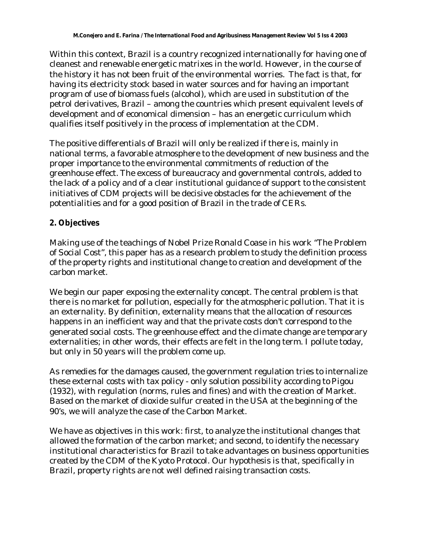Within this context, Brazil is a country recognized internationally for having one of cleanest and renewable energetic matrixes in the world. However, in the course of the history it has not been fruit of the environmental worries. The fact is that, for having its electricity stock based in water sources and for having an important program of use of biomass fuels (alcohol), which are used in substitution of the petrol derivatives, Brazil – among the countries which present equivalent levels of development and of economical dimension – has an energetic curriculum which qualifies itself positively in the process of implementation at the CDM.

The positive differentials of Brazil will only be realized if there is, mainly in national terms, a favorable atmosphere to the development of new business and the proper importance to the environmental commitments of reduction of the greenhouse effect. The excess of bureaucracy and governmental controls, added to the lack of a policy and of a clear institutional guidance of support to the consistent initiatives of CDM projects will be decisive obstacles for the achievement of the potentialities and for a good position of Brazil in the trade of CERs.

# **2. Objectives**

Making use of the teachings of Nobel Prize Ronald Coase in his work "The Problem of Social Cost", this paper has as a research problem to study the definition process of the property rights and institutional change to creation and development of the carbon market.

We begin our paper exposing the externality concept. The central problem is that there is no market for pollution, especially for the atmospheric pollution. That it is an externality. By definition, externality means that the allocation of resources happens in an inefficient way and that the private costs don't correspond to the generated social costs. The greenhouse effect and the climate change are temporary externalities; in other words, their effects are felt in the long term. I pollute today, but only in 50 years will the problem come up.

As remedies for the damages caused, the government regulation tries to internalize these external costs with tax policy - only solution possibility according to Pigou (1932), with regulation (norms, rules and fines) and with the creation of Market. Based on the market of dioxide sulfur created in the USA at the beginning of the 90's, we will analyze the case of the Carbon Market.

We have as objectives in this work: first, to analyze the institutional changes that allowed the formation of the carbon market; and second, to identify the necessary institutional characteristics for Brazil to take advantages on business opportunities created by the CDM of the Kyoto Protocol. Our hypothesis is that, specifically in Brazil, property rights are not well defined raising transaction costs.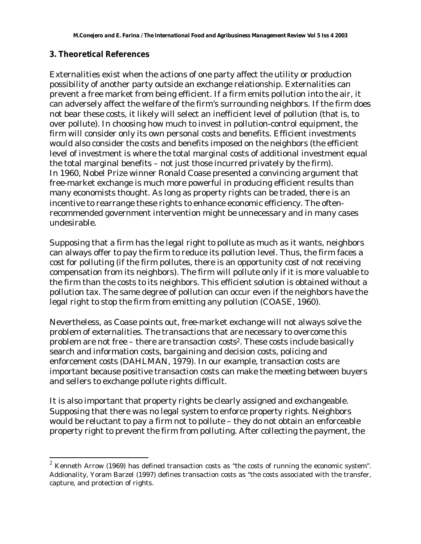### **3. Theoretical References**

l

Externalities exist when the actions of one party affect the utility or production possibility of another party outside an exchange relationship. Externalities can prevent a free market from being efficient. If a firm emits pollution into the air, it can adversely affect the welfare of the firm's surrounding neighbors. If the firm does not bear these costs, it likely will select an inefficient level of pollution (that is, to over pollute). In choosing how much to invest in pollution-control equipment, the firm will consider only its own personal costs and benefits. Efficient investments would also consider the costs and benefits imposed on the neighbors (the efficient level of investment is where the total marginal costs of additional investment equal the total marginal benefits – not just those incurred privately by the firm). In 1960, Nobel Prize winner Ronald Coase presented a convincing argument that free-market exchange is much more powerful in producing efficient results than many economists thought. As long as property rights can be traded, there is an incentive to rearrange these rights to enhance economic efficiency. The oftenrecommended government intervention might be unnecessary and in many cases undesirable.

Supposing that a firm has the legal right to pollute as much as it wants, neighbors can always offer to pay the firm to reduce its pollution level. Thus, the firm faces a cost for polluting (if the firm pollutes, there is an opportunity cost of not receiving compensation from its neighbors). The firm will pollute only if it is more valuable to the firm than the costs to its neighbors. This efficient solution is obtained without a pollution tax. The same degree of pollution can occur even if the neighbors have the legal right to stop the firm from emitting any pollution (COASE, 1960).

Nevertheless, as Coase points out, free-market exchange will not always solve the problem of externalities. The transactions that are necessary to overcome this problem are not free – there are *transaction costs<sup>2</sup>*. These costs include basically search and information costs, bargaining and decision costs, policing and enforcement costs (DAHLMAN, 1979). In our example, transaction costs are important because positive transaction costs can make the meeting between buyers and sellers to exchange pollute rights difficult.

It is also important that property rights be clearly assigned and exchangeable. Supposing that there was no legal system to enforce property rights. Neighbors would be reluctant to pay a firm not to pollute – they do not obtain an enforceable property right to prevent the firm from polluting. After collecting the payment, the

 $2$  Kenneth Arrow (1969) has defined transaction costs as "the costs of running the economic system". Addionality, Yoram Barzel (1997) defines transaction costs as "the costs associated with the transfer, capture, and protection of rights.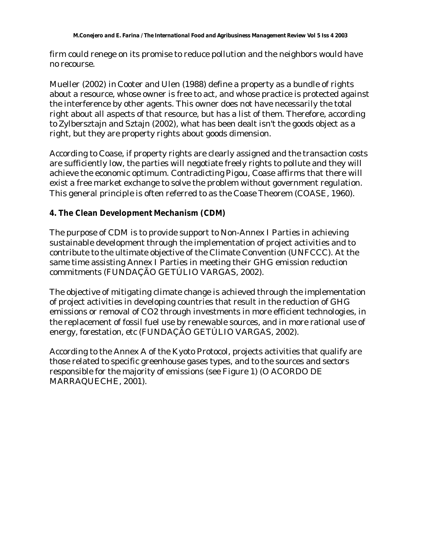firm could renege on its promise to reduce pollution and the neighbors would have no recourse.

Mueller (2002) in Cooter and Ulen (1988) define a property as a bundle of rights about a resource, whose owner is free to act, and whose practice is protected against the interference by other agents. This owner does not have necessarily the total right about all aspects of that resource, but has a list of them. Therefore, according to Zylbersztajn and Sztajn (2002), what has been dealt isn't the goods object as a right, but they are property rights about goods dimension.

According to Coase, if property rights are clearly assigned and the transaction costs are sufficiently low, the parties will negotiate freely rights to pollute and they will achieve the economic optimum. Contradicting Pigou, Coase affirms that there will exist a free market exchange to solve the problem without government regulation. This general principle is often referred to as the Coase Theorem (COASE, 1960).

# **4. The Clean Development Mechanism (CDM)**

The purpose of CDM is to provide support to Non-Annex I Parties in achieving sustainable development through the implementation of project activities and to contribute to the ultimate objective of the Climate Convention (UNFCCC). At the same time assisting Annex I Parties in meeting their GHG emission reduction commitments (FUNDAÇÃO GETÚLIO VARGAS, 2002).

The objective of mitigating climate change is achieved through the implementation of project activities in developing countries that result in the reduction of GHG emissions or removal of CO2 through investments in more efficient technologies, in the replacement of fossil fuel use by renewable sources, and in more rational use of energy, forestation, etc (FUNDAÇÃO GETÚLIO VARGAS, 2002).

According to the Annex A of the Kyoto Protocol, projects activities that qualify are those related to specific greenhouse gases types, and to the sources and sectors responsible for the majority of emissions (see Figure 1) (O ACORDO DE MARRAQUECHE, 2001).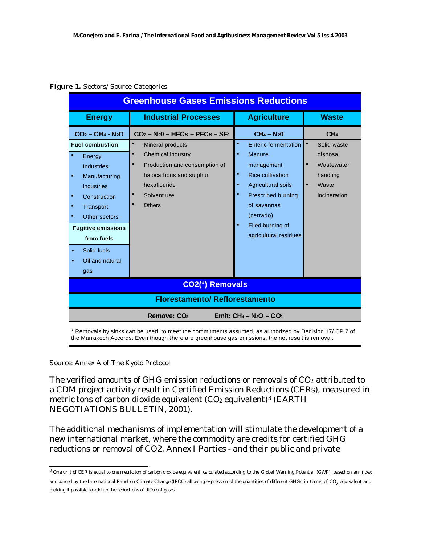|  |  | Figure 1. Sectors/ Source Categories |
|--|--|--------------------------------------|
|  |  |                                      |

| <b>Industrial Processes</b><br><b>Agriculture</b><br><b>Waste</b><br><b>Energy</b><br>$CH_4 - N_20$<br>CH <sub>4</sub><br>$CO2 - CH4 - N2O$<br>$CO2 - N20 - HFCs - PFCs - SF6$<br>٠<br><b>Fuel combustion</b><br><b>Enteric fermentation</b><br>Solid waste<br>Mineral products<br>٠<br><b>Chemical industry</b><br>Manure<br>disposal<br>٠<br>Energy<br>п<br>Production and consumption of<br>Wastewater<br>management<br><b>Industries</b><br><b>Rice cultivation</b><br>halocarbons and sulphur<br>handling<br>Manufacturing<br>٠<br>hexaflouride<br>$\blacksquare$<br><b>Agricultural soils</b><br>Waste<br>industries<br>Solvent use<br><b>Prescribed burning</b><br>incineration<br>٠<br>Construction<br>of savannas<br><b>Others</b><br>Transport<br>٠<br>(cerrado)<br>Other sectors<br>Filed burning of<br><b>Fugitive emissions</b><br>agricultural residues<br>from fuels | <b>Greenhouse Gases Emissions Reductions</b> |  |  |  |  |  |  |
|-------------------------------------------------------------------------------------------------------------------------------------------------------------------------------------------------------------------------------------------------------------------------------------------------------------------------------------------------------------------------------------------------------------------------------------------------------------------------------------------------------------------------------------------------------------------------------------------------------------------------------------------------------------------------------------------------------------------------------------------------------------------------------------------------------------------------------------------------------------------------------------|----------------------------------------------|--|--|--|--|--|--|
|                                                                                                                                                                                                                                                                                                                                                                                                                                                                                                                                                                                                                                                                                                                                                                                                                                                                                     |                                              |  |  |  |  |  |  |
|                                                                                                                                                                                                                                                                                                                                                                                                                                                                                                                                                                                                                                                                                                                                                                                                                                                                                     |                                              |  |  |  |  |  |  |
| Solid fuels<br>$\bullet$<br>Oil and natural<br>gas                                                                                                                                                                                                                                                                                                                                                                                                                                                                                                                                                                                                                                                                                                                                                                                                                                  |                                              |  |  |  |  |  |  |
| <b>CO2(*) Removals</b>                                                                                                                                                                                                                                                                                                                                                                                                                                                                                                                                                                                                                                                                                                                                                                                                                                                              |                                              |  |  |  |  |  |  |
| <b>Florestamento/ Reflorestamento</b>                                                                                                                                                                                                                                                                                                                                                                                                                                                                                                                                                                                                                                                                                                                                                                                                                                               |                                              |  |  |  |  |  |  |
| Emit: $CH_4 - N_2O - CO_2$<br>Remove: CO <sub>2</sub>                                                                                                                                                                                                                                                                                                                                                                                                                                                                                                                                                                                                                                                                                                                                                                                                                               |                                              |  |  |  |  |  |  |

\* Removals by sinks can be used to meet the commitments assumed, as authorized by Decision 17/ CP.7 of the Marrakech Accords. Even though there are greenhouse gas emissions, the net result is removal.

#### *Source: Annex A of The Kyoto Protocol*

l

The verified amounts of GHG emission reductions or removals of CO<sub>2</sub> attributed to a CDM project activity result in Certified Emission Reductions (CERs), measured in metric tons of carbon dioxide equivalent  $(CO_2$  equivalent)<sup>3</sup> (EARTH NEGOTIATIONS BULLETIN, 2001).

The additional mechanisms of implementation will stimulate the development of a new international market, where the commodity are credits for certified GHG reductions or removal of CO2. Annex I Parties - and their public and private

 $^3$  One unit of CER is equal to one metric ton of carbon dioxide equivalent, calculated according to the Global Warning Potential (GWP), based on an index announced by the International Panel on Climate Change (IPCC) allowing expression of the quantities of different GHGs in terms of CO<sub>2</sub> equivalent and making it possible to add up the reductions of different gases.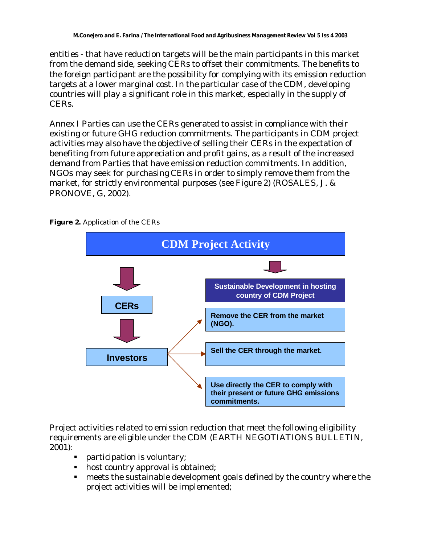entities - that have reduction targets will be the main participants in this market from the demand side, seeking CERs to offset their commitments. The benefits to the foreign participant are the possibility for complying with its emission reduction targets at a lower marginal cost. In the particular case of the CDM, developing countries will play a significant role in this market, especially in the supply of CERs.

Annex I Parties can use the CERs generated to assist in compliance with their existing or future GHG reduction commitments. The participants in CDM project activities may also have the objective of selling their CERs in the expectation of benefiting from future appreciation and profit gains, as a result of the increased demand from Parties that have emission reduction commitments. In addition, NGOs may seek for purchasing CERs in order to simply remove them from the market, for strictly environmental purposes (see Figure 2) (ROSALES, J. & PRONOVE, G, 2002).



**Figure 2.** Application of the CERs

Project activities related to emission reduction that meet the following eligibility requirements are eligible under the CDM (EARTH NEGOTIATIONS BULLETIN, 2001):

- **EXECUTE:** participation is voluntary;
- $\blacksquare$  host country approval is obtained;
- $\blacksquare$  meets the sustainable development goals defined by the country where the project activities will be implemented;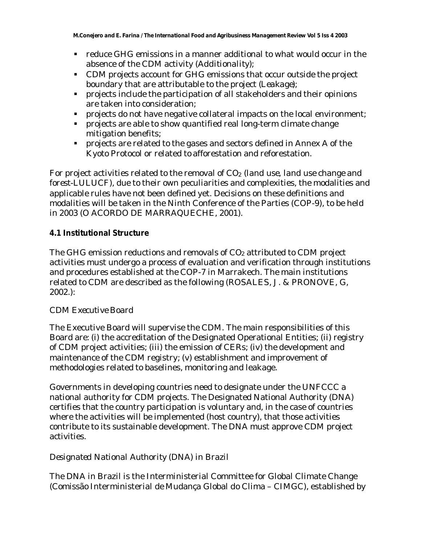- ß reduce GHG emissions in a manner additional to what would occur in the absence of the CDM activity (*Additionality*);
- CDM projects account for GHG emissions that occur outside the project boundary that are attributable to the project (*Leakage*);
- **•** projects include the participation of all stakeholders and their opinions are taken into consideration;
- projects do not have negative collateral impacts on the local environment;
- **•** projects are able to show quantified real long-term climate change mitigation benefits;
- **•** projects are related to the gases and sectors defined in Annex A of the Kyoto Protocol or related to afforestation and reforestation.

For project activities related to the removal of CO2 (*land use, land use change and forest-LULUCF*), due to their own peculiarities and complexities, the modalities and applicable rules have not been defined yet. Decisions on these definitions and modalities will be taken in the Ninth Conference of the Parties (COP-9), to be held in 2003 (O ACORDO DE MARRAQUECHE, 2001).

# **4.1 Institutional Structure**

The GHG emission reductions and removals of CO<sub>2</sub> attributed to CDM project activities must undergo a process of evaluation and verification through institutions and procedures established at the COP-7 in Marrakech. The main institutions related to CDM are described as the following (ROSALES, J. & PRONOVE, G, 2002.):

# *CDM Executive Board*

The Executive Board will supervise the CDM. The main responsibilities of this Board are: (i) the accreditation of the Designated Operational Entities; (ii) registry of CDM project activities; (iii) the emission of CERs; (iv) the development and maintenance of the CDM registry; (v) establishment and improvement of methodologies related to baselines, monitoring and leakage.

Governments in developing countries need to designate under the UNFCCC a national authority for CDM projects. The Designated National Authority (DNA) certifies that the country participation is voluntary and, in the case of countries where the activities will be implemented (host country), that those activities contribute to its sustainable development. The DNA must approve CDM project activities.

# *Designated National Authority (DNA) in Brazil*

The DNA in Brazil is the Interministerial Committee for Global Climate Change (Comissão Interministerial de Mudança Global do Clima – CIMGC), established by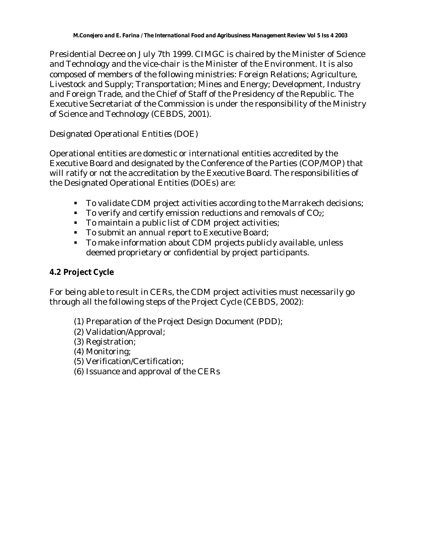Presidential Decree on July 7th 1999. CIMGC is chaired by the Minister of Science and Technology and the vice-chair is the Minister of the Environment. It is also composed of members of the following ministries: Foreign Relations; Agriculture, Livestock and Supply; Transportation; Mines and Energy; Development, Industry and Foreign Trade, and the Chief of Staff of the Presidency of the Republic. The Executive Secretariat of the Commission is under the responsibility of the Ministry of Science and Technology (CEBDS, 2001).

# *Designated Operational Entities (DOE)*

Operational entities are domestic or international entities accredited by the Executive Board and designated by the Conference of the Parties (COP/MOP) that will ratify or not the accreditation by the Executive Board. The responsibilities of the Designated Operational Entities (DOEs) are:

- To validate CDM project activities according to the Marrakech decisions;
- $\blacksquare$  To verify and certify emission reductions and removals of CO<sub>2</sub>;
- **To maintain a public list of CDM project activities;**
- **To submit an annual report to Executive Board;**
- To make information about CDM projects publicly available, unless deemed proprietary or confidential by project participants.

# **4.2 Project Cycle**

For being able to result in CERs, the CDM project activities must necessarily go through all the following steps of the Project Cycle (CEBDS, 2002):

- (1) Preparation of the Project Design Document (PDD);
- (2) Validation/Approval;
- (3) Registration;
- (4) Monitoring;
- (5) Verification/Certification;
- (6) Issuance and approval of the CERs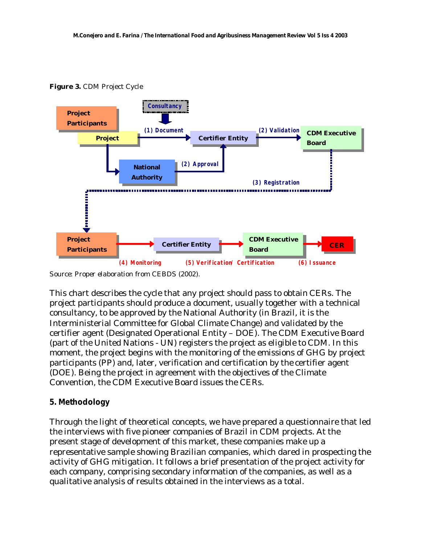

**Figure 3.** CDM Project Cycle

*Source: Proper elaboration from CEBDS (2002).*

This chart describes the cycle that any project should pass to obtain CERs. The project participants should produce a document, usually together with a technical consultancy, to be approved by the National Authority (in Brazil, it is the Interministerial Committee for Global Climate Change) and validated by the certifier agent (Designated Operational Entity – DOE). The CDM Executive Board (part of the United Nations - UN) registers the project as eligible to CDM. In this moment, the project begins with the monitoring of the emissions of GHG by project participants (PP) and, later, verification and certification by the certifier agent (DOE). Being the project in agreement with the objectives of the Climate Convention, the CDM Executive Board issues the CERs.

# **5. Methodology**

Through the light of theoretical concepts, we have prepared a questionnaire that led the interviews with five pioneer companies of Brazil in CDM projects. At the present stage of development of this market, these companies make up a representative sample showing Brazilian companies, which dared in prospecting the activity of GHG mitigation. It follows a brief presentation of the project activity for each company, comprising secondary information of the companies, as well as a qualitative analysis of results obtained in the interviews as a total.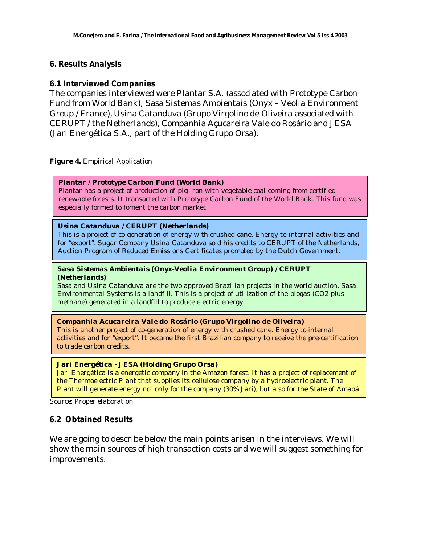### **6. Results Analysis**

### **6.1 Interviewed Companies**

The companies interviewed were Plantar S.A. (associated with Prototype Carbon Fund from World Bank), Sasa Sistemas Ambientais (Onyx – Veolia Environment Group / France), Usina Catanduva (Grupo Virgolino de Oliveira associated with CERUPT / the Netherlands), Companhia Açucareira Vale do Rosário and JESA (Jari Energética S.A., part of the Holding Grupo Orsa).

**Figure 4.** Empirical Application

#### *Plantar / Prototype Carbon Fund (World Bank)*

Plantar has a project of production of pig-iron with vegetable coal coming from certified renewable forests. It transacted with Prototype Carbon Fund of the World Bank. This fund was especially formed to foment the carbon market.

#### *Usina Catanduva / CERUPT (Netherlands)*

This is a project of co-generation of energy with crushed cane. Energy to internal activities and for "export". Sugar Company Usina Catanduva sold his credits to CERUPT of the Netherlands, Auction Program of Reduced Emissions Certificates promoted by the Dutch Government.

#### *Sasa Sistemas Ambientais (Onyx-Veolia Environment Group) / CERUPT (Netherlands)*

Sasa and Usina Catanduva are the two approved Brazilian projects in the world auction. Sasa Environmental Systems is a landfill. This is a project of utilization of the biogas (CO2 plus methane) generated in a landfill to produce electric energy.

#### *Companhia Açucareira Vale do Rosário (Grupo Virgolino de Oliveira)*

This is another project of co-generation of energy with crushed cane. Energy to internal activities and for "export". It became the first Brazilian company to receive the pre-certification to trade carbon credits.

#### *Jari Energética - JESA (Holding Grupo Orsa)*

Jari Energética is a energetic company in the Amazon forest. It has a project of replacement of the Thermoelectric Plant that supplies its cellulose company by a hydroelectric plant. The Plant will generate energy not only for the company (30% Jari), but also for the State of Amapá

<u>Landre: Proper elaboration</u>

### **6.2 Obtained Results**

We are going to describe below the main points arisen in the interviews. We will show the main sources of high transaction costs and we will suggest something for improvements.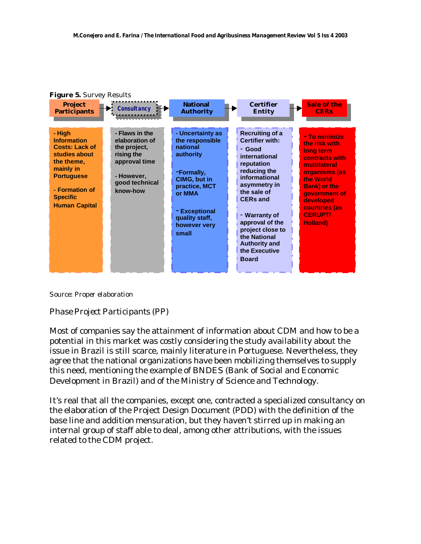

*Source: Proper elaboration*

# *Phase Project Participants (PP)*

Most of companies say the attainment of information about CDM and how to be a potential in this market was costly considering the study availability about the issue in Brazil is still scarce, mainly literature in Portuguese. Nevertheless, they agree that the national organizations have been mobilizing themselves to supply this need, mentioning the example of BNDES (Bank of Social and Economic Development in Brazil) and of the Ministry of Science and Technology.

It's real that all the companies, except one, contracted a specialized consultancy on the elaboration of the Project Design Document (PDD) with the definition of the base line and addition mensuration, but they haven't stirred up in making an internal group of staff able to deal, among other attributions, with the issues related to the CDM project.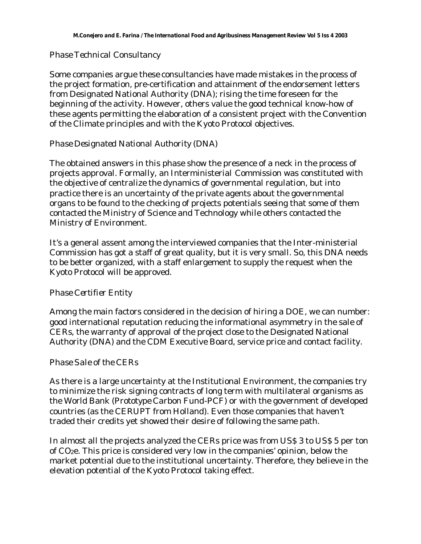# *Phase Technical Consultancy*

Some companies argue these consultancies have made mistakes in the process of the project formation, pre-certification and attainment of the endorsement letters from Designated National Authority (DNA); rising the time foreseen for the beginning of the activity. However, others value the good technical know-how of these agents permitting the elaboration of a consistent project with the Convention of the Climate principles and with the Kyoto Protocol objectives.

# *Phase Designated National Authority (DNA)*

The obtained answers in this phase show the presence of a neck in the process of projects approval. Formally, an Interministerial Commission was constituted with the objective of centralize the dynamics of governmental regulation, but into practice there is an uncertainty of the private agents about the governmental organs to be found to the checking of projects potentials seeing that some of them contacted the Ministry of Science and Technology while others contacted the Ministry of Environment.

It's a general assent among the interviewed companies that the Inter-ministerial Commission has got a staff of great quality, but it is very small. So, this DNA needs to be better organized, with a staff enlargement to supply the request when the Kyoto Protocol will be approved.

### *Phase Certifier Entity*

Among the main factors considered in the decision of hiring a DOE, we can number: good international reputation reducing the informational asymmetry in the sale of CERs, the warranty of approval of the project close to the Designated National Authority (DNA) and the CDM Executive Board, service price and contact facility.

### *Phase Sale of the CERs*

As there is a large uncertainty at the Institutional Environment, the companies try to minimize the risk signing contracts of long term with multilateral organisms as the World Bank (*Prototype Carbon Fund-PCF*) or with the government of developed countries (as the CERUPT from Holland). Even those companies that haven't traded their credits yet showed their desire of following the same path.

In almost all the projects analyzed the CERs price was from US\$ 3 to US\$ 5 per ton of CO2e. This price is considered very low in the companies' opinion, below the market potential due to the institutional uncertainty. Therefore, they believe in the elevation potential of the Kyoto Protocol taking effect.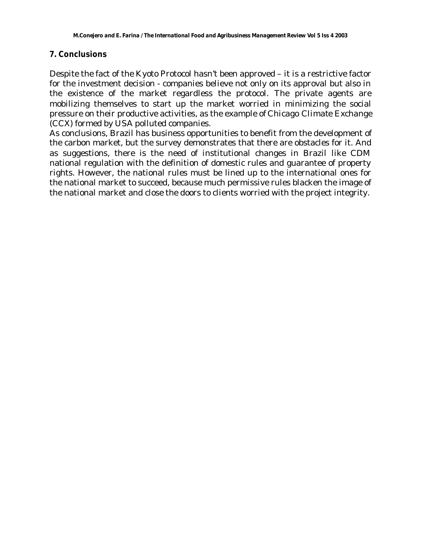### **7. Conclusions**

Despite the fact of the Kyoto Protocol hasn't been approved – it is a restrictive factor for the investment decision - companies believe not only on its approval but also in the existence of the market regardless the protocol. The private agents are mobilizing themselves to start up the market worried in minimizing the social pressure on their productive activities, as the example of *Chicago Climate Exchange* (CCX) formed by USA polluted companies.

As conclusions, Brazil has business opportunities to benefit from the development of the carbon market, but the survey demonstrates that there are obstacles for it. And as suggestions, there is the need of institutional changes in Brazil like CDM national regulation with the definition of domestic rules and guarantee of property rights. However, the national rules must be lined up to the international ones for the national market to succeed, because much permissive rules blacken the image of the national market and close the doors to clients worried with the project integrity.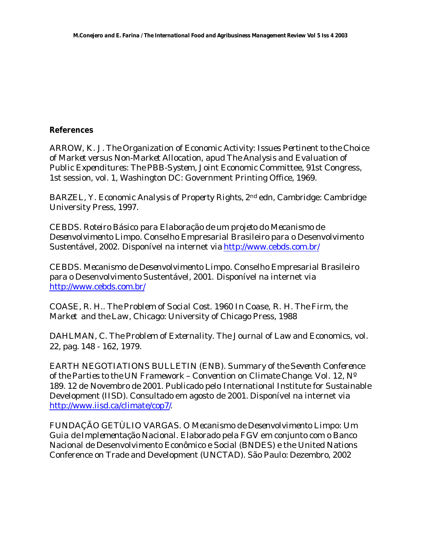### **References**

ARROW, K. J. *The Organization of Economic Activity: Issues Pertinent to the Choice of Market versus Non-Market Allocation*, apud *The Analysis and Evaluation of Public Expenditures: The PBB-System,* Joint Economic Committee, 91st Congress, 1st session, vol. 1, Washington DC: Government Printing Office, 1969.

BARZEL, Y. *Economic Analysis of Property Rights*, 2nd edn, Cambridge: Cambridge University Press, 1997.

CEBDS. *Roteiro Básico para Elaboração de um projeto do Mecanismo de Desenvolvimento Limpo*. Conselho Empresarial Brasileiro para o Desenvolvimento Sustentável, 2002. Disponível na internet via http://www.cebds.com.br/

CEBDS. *Mecanismo de Desenvolvimento Limpo*. Conselho Empresarial Brasileiro para o Desenvolvimento Sustentável, 2001. Disponível na internet via http://www.cebds.com.br/

COASE, R. H.. *The Problem of Social Cost*. 1960 In Coase, R. H. *The Firm, the Market and the Law*, Chicago: University of Chicago Press, 1988

DAHLMAN, C. *The Problem of Externality*. The Journal of Law and Economics, vol. 22, pag. 148 - 162, 1979.

EARTH NEGOTIATIONS BULLETIN (ENB). *Summary of the Seventh Conference of the Parties to the UN Framework – Convention on Climate Change.* Vol. 12, Nº 189. 12 de Novembro de 2001. Publicado pelo International Institute for Sustainable Development (IISD). Consultado em agosto de 2001. Disponível na internet via http://www.iisd.ca/climate/cop7/.

FUNDAÇÃO GETÙLIO VARGAS. O *Mecanismo de Desenvolvimento Limpo: Um Guia de Implementação Nacional.* Elaborado pela FGV em conjunto com o Banco Nacional de Desenvolvimento Econômico e Social (BNDES) e the United Nations Conference on Trade and Development (UNCTAD). São Paulo: Dezembro, 2002